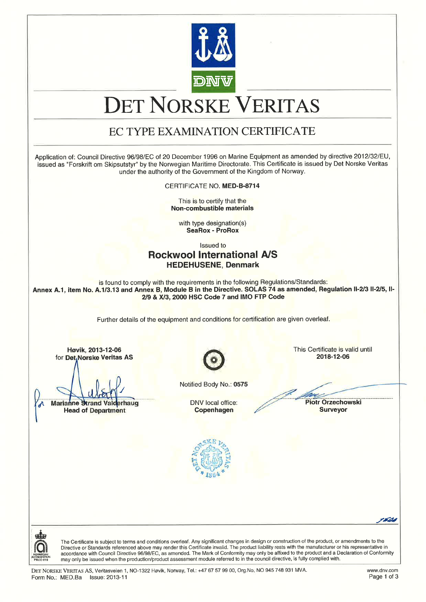

# DET NORSKE VERITAS

# EC TYPE EXAMINATION CERTIFICATE

Application of: Council Directive 96/98/EC of 20 December 1996 on Marine Equipment as amended by directive 2012/32/EU, issued as "Forskrift om Skipsutstyr" by the Nonruegian Maritime Directorate. This Cedificate is issued by Det Norske Veritas under the authority of the Government of the Kingdom of Norway.

CERTIFICATE NO. MED-8.8714

This is to certify that the Non-combustible materials

with type designation(s) SeaRox - ProRox

lssued to

## Rockwool lnternational A/S HEDEHUSENE, Denmark

is found to comply with the requirements in the following Regulations/Standards: Annex A.1, item No. A.1/3.13 and Annex B, Module B in the Directive. SOLAS 74 as amended, Regulation II-2/3 II-2/5, II-2/9 & X/3, 2000 HSC Code 7 and IMO FTP Code

Further details of the equipment and conditions for certification are given overleaf.

Høvik, 2013-12-06 **This Certificate is valid until**<br>Det Norske Veritas AS **This Certificate is valid until** for Det, Norske Veritas AS

Marianne Strand Valderhaug **DNV** local office: Head of Department **Example 2018** Copenhagen **Copenhagen** Surveyor

Notified Body No.: 0575

Copenhagen

Piotr Orzechowski





The Certificate is subject to terms and conditions overleaf. Any significant changes in design or construction of the product, or amendments to the Directive or Standards referenced above may render this Certificate invalid. The product liability rests with the manufacturer or his representative ir accordance with Council Directive 96/98/EC, as amended. The Mark of Conformity may only be affixed to the product and a Declaration of Conformity may only be issued when the production/product assessment module referred to in the council directive, is fully complied with.

-r&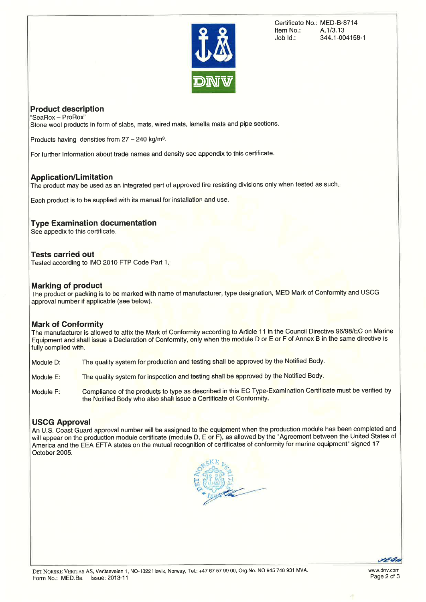

Certificate No.: MED-B-8714<br>Item No.: A.1/3.13 Item No.:<br>Job Id.: Job ld.: 344.1-004158-1

#### Product description "SeaRox - ProRox"

Stone wool products in form of slabs, mats, wired mats, lamella mats and pipe sections.

Products having densities from  $27 - 240$  kg/m<sup>3</sup>.

For further lnformation about trade names and density see appendix to this certificate.

#### Application/Limitation

The product may be used as an integrated part of approved fire resisting divisions only when tested as such.

Each product is to be supplied with its manual for installation and use.

#### **Type Examination documentation**

See appedix to this certificate.

#### Tests carried out

Tested according to IMO 2010 FTP Code Part 1.

#### Marking of product

The product or packing is to be marked with name of manufacturer, type designation, MED Mark of Conformity and USCG approval number if applicable (see below).

#### Mark of Conformity

The manufacturer is allowed to affix the Mark of Conformity according to Article 11 in the Council Directive 96/98/EC on Marine Equipment and shall issue a Declaration of Conformity, only when the module D or E or F of Annex B in the same directive is fully complied with.

Module D: The quality system for production and testing shall be approved by the Notified Body.

- Module E: The quality system for inspection and testing shall be approved by the Notified Body.
- Module F: Compliance of the products to type as described in this EC Type-Examination Certificate must be verified by the Notified Body who also shall issue a Certificate of Conformity.

#### USCG Approval

An U.S. Coast Guard approval number will be assigned to the equipment when the production module has been completed and will appear on the production module certificate (module D, E or F), as allowed by the "Agreement between the United States of America and the EEA EFTA states on the mutual recognition of certificates of conformity for marine equipment" signed 17 October 2005.



YE 6h